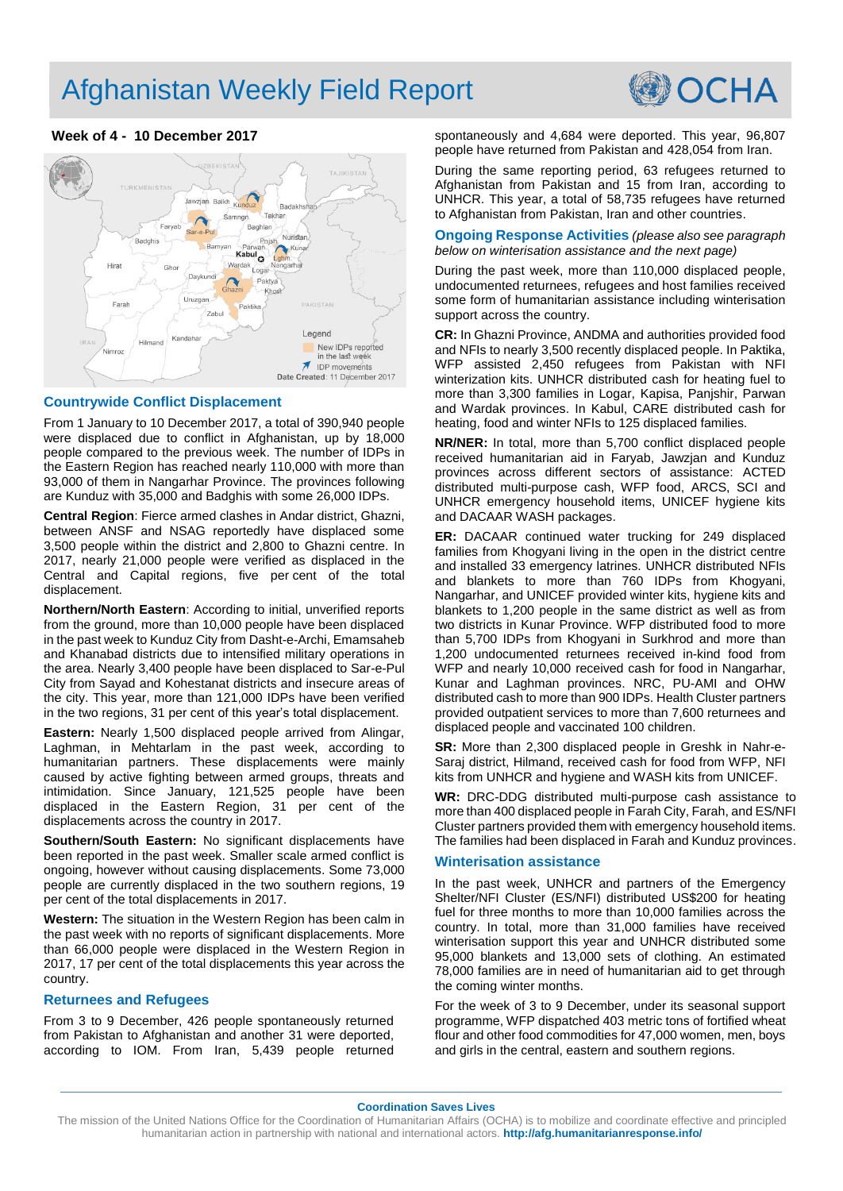# Afghanistan Weekly Field Report



## **Week of 4 - 10 December 2017**



## **Countrywide Conflict Displacement**

From 1 January to 10 December 2017, a total of 390,940 people were displaced due to conflict in Afghanistan, up by 18,000 people compared to the previous week. The number of IDPs in the Eastern Region has reached nearly 110,000 with more than 93,000 of them in Nangarhar Province. The provinces following are Kunduz with 35,000 and Badghis with some 26,000 IDPs.

**Central Region**: Fierce armed clashes in Andar district, Ghazni, between ANSF and NSAG reportedly have displaced some 3,500 people within the district and 2,800 to Ghazni centre. In 2017, nearly 21,000 people were verified as displaced in the Central and Capital regions, five per cent of the total displacement.

**Northern/North Eastern**: According to initial, unverified reports from the ground, more than 10,000 people have been displaced in the past week to Kunduz City from Dasht-e-Archi, Emamsaheb and Khanabad districts due to intensified military operations in the area. Nearly 3,400 people have been displaced to Sar-e-Pul City from Sayad and Kohestanat districts and insecure areas of the city. This year, more than 121,000 IDPs have been verified in the two regions, 31 per cent of this year's total displacement.

**Eastern:** Nearly 1,500 displaced people arrived from Alingar, Laghman, in Mehtarlam in the past week, according to humanitarian partners. These displacements were mainly caused by active fighting between armed groups, threats and intimidation. Since January, 121,525 people have been displaced in the Eastern Region, 31 per cent of the displacements across the country in 2017.

**Southern/South Eastern:** No significant displacements have been reported in the past week. Smaller scale armed conflict is ongoing, however without causing displacements. Some 73,000 people are currently displaced in the two southern regions, 19 per cent of the total displacements in 2017.

**Western:** The situation in the Western Region has been calm in the past week with no reports of significant displacements. More than 66,000 people were displaced in the Western Region in 2017, 17 per cent of the total displacements this year across the country.

### **Returnees and Refugees**

From 3 to 9 December, 426 people spontaneously returned from Pakistan to Afghanistan and another 31 were deported, according to IOM. From Iran, 5,439 people returned

spontaneously and 4,684 were deported. This year, 96,807 people have returned from Pakistan and 428,054 from Iran.

During the same reporting period, 63 refugees returned to Afghanistan from Pakistan and 15 from Iran, according to UNHCR. This year, a total of 58,735 refugees have returned to Afghanistan from Pakistan, Iran and other countries.

**Ongoing Response Activities** *(please also see paragraph below on winterisation assistance and the next page)*

During the past week, more than 110,000 displaced people, undocumented returnees, refugees and host families received some form of humanitarian assistance including winterisation support across the country.

**CR:** In Ghazni Province, ANDMA and authorities provided food and NFIs to nearly 3,500 recently displaced people. In Paktika, WFP assisted 2,450 refugees from Pakistan with NFI winterization kits. UNHCR distributed cash for heating fuel to more than 3,300 families in Logar, Kapisa, Panjshir, Parwan and Wardak provinces. In Kabul, CARE distributed cash for heating, food and winter NFIs to 125 displaced families.

**NR/NER:** In total, more than 5,700 conflict displaced people received humanitarian aid in Faryab, Jawzjan and Kunduz provinces across different sectors of assistance: ACTED distributed multi-purpose cash, WFP food, ARCS, SCI and UNHCR emergency household items, UNICEF hygiene kits and DACAAR WASH packages.

**ER:** DACAAR continued water trucking for 249 displaced families from Khogyani living in the open in the district centre and installed 33 emergency latrines. UNHCR distributed NFIs and blankets to more than 760 IDPs from Khogyani, Nangarhar, and UNICEF provided winter kits, hygiene kits and blankets to 1,200 people in the same district as well as from two districts in Kunar Province. WFP distributed food to more than 5,700 IDPs from Khogyani in Surkhrod and more than 1,200 undocumented returnees received in-kind food from WFP and nearly 10,000 received cash for food in Nangarhar, Kunar and Laghman provinces. NRC, PU-AMI and OHW distributed cash to more than 900 IDPs. Health Cluster partners provided outpatient services to more than 7,600 returnees and displaced people and vaccinated 100 children.

**SR:** More than 2,300 displaced people in Greshk in Nahr-e-Saraj district, Hilmand, received cash for food from WFP, NFI kits from UNHCR and hygiene and WASH kits from UNICEF.

**WR:** DRC-DDG distributed multi-purpose cash assistance to more than 400 displaced people in Farah City, Farah, and ES/NFI Cluster partners provided them with emergency household items. The families had been displaced in Farah and Kunduz provinces.

### **Winterisation assistance**

In the past week, UNHCR and partners of the Emergency Shelter/NFI Cluster (ES/NFI) distributed US\$200 for heating fuel for three months to more than 10,000 families across the country. In total, more than 31,000 families have received winterisation support this year and UNHCR distributed some 95,000 blankets and 13,000 sets of clothing. An estimated 78,000 families are in need of humanitarian aid to get through the coming winter months.

For the week of 3 to 9 December, under its seasonal support programme, WFP dispatched 403 metric tons of fortified wheat flour and other food commodities for 47,000 women, men, boys and girls in the central, eastern and southern regions.

**Coordination Saves Lives**